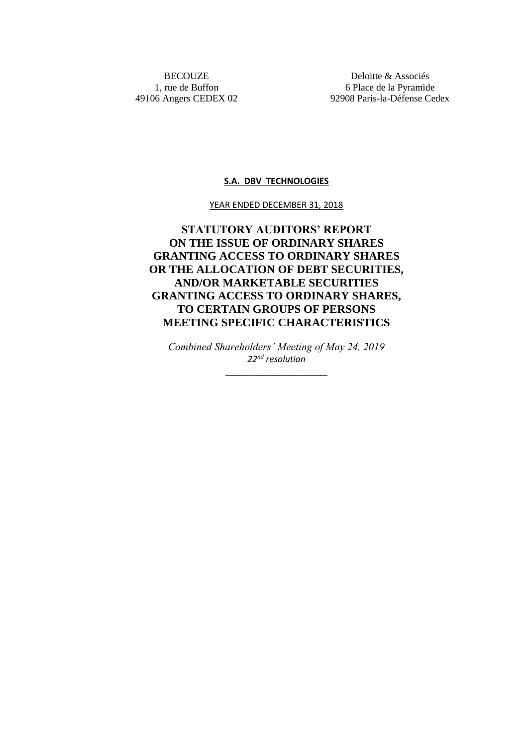BECOUZE 1, rue de Buffon 49106 Angers CEDEX 02

Deloitte & Associés 6 Place de la Pyramide 92908 Paris-la-Défense Cedex

#### **S.A. DBV TECHNOLOGIES**

### YEAR ENDED DECEMBER 31, 2018

# **STATUTORY AUDITORS' REPORT ON THE ISSUE OF ORDINARY SHARES GRANTING ACCESS TO ORDINARY SHARES OR THE ALLOCATION OF DEBT SECURITIES, AND/OR MARKETABLE SECURITIES GRANTING ACCESS TO ORDINARY SHARES, TO CERTAIN GROUPS OF PERSONS MEETING SPECIFIC CHARACTERISTICS**

*Combined Shareholders' Meeting of May 24, 2019 22nd resolution*

\_\_\_\_\_\_\_\_\_\_\_\_\_\_\_\_\_\_\_\_\_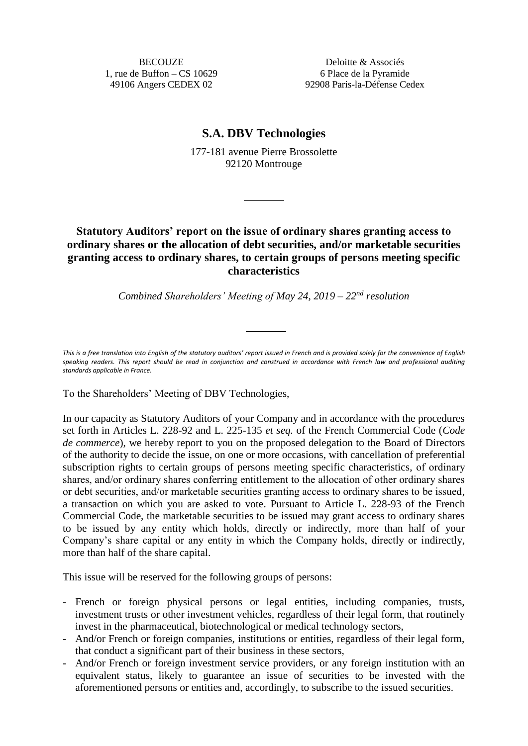**BECOUZE** 1, rue de Buffon – CS 10629 49106 Angers CEDEX 02

Deloitte & Associés 6 Place de la Pyramide 92908 Paris-la-Défense Cedex

## **S.A. DBV Technologies**

177-181 avenue Pierre Brossolette 92120 Montrouge

# **Statutory Auditors' report on the issue of ordinary shares granting access to ordinary shares or the allocation of debt securities, and/or marketable securities granting access to ordinary shares, to certain groups of persons meeting specific characteristics**

*Combined Shareholders' Meeting of May 24, 2019 – 22 nd resolution*

*This is a free translation into English of the statutory auditors' report issued in French and is provided solely for the convenience of English speaking readers. This report should be read in conjunction and construed in accordance with French law and professional auditing standards applicable in France.*

To the Shareholders' Meeting of DBV Technologies,

In our capacity as Statutory Auditors of your Company and in accordance with the procedures set forth in Articles L. 228-92 and L. 225-135 *et seq.* of the French Commercial Code (*Code de commerce*), we hereby report to you on the proposed delegation to the Board of Directors of the authority to decide the issue, on one or more occasions, with cancellation of preferential subscription rights to certain groups of persons meeting specific characteristics, of ordinary shares, and/or ordinary shares conferring entitlement to the allocation of other ordinary shares or debt securities, and/or marketable securities granting access to ordinary shares to be issued, a transaction on which you are asked to vote. Pursuant to Article L. 228-93 of the French Commercial Code, the marketable securities to be issued may grant access to ordinary shares to be issued by any entity which holds, directly or indirectly, more than half of your Company's share capital or any entity in which the Company holds, directly or indirectly, more than half of the share capital.

This issue will be reserved for the following groups of persons:

- French or foreign physical persons or legal entities, including companies, trusts, investment trusts or other investment vehicles, regardless of their legal form, that routinely invest in the pharmaceutical, biotechnological or medical technology sectors,
- And/or French or foreign companies, institutions or entities, regardless of their legal form, that conduct a significant part of their business in these sectors,
- And/or French or foreign investment service providers, or any foreign institution with an equivalent status, likely to guarantee an issue of securities to be invested with the aforementioned persons or entities and, accordingly, to subscribe to the issued securities.